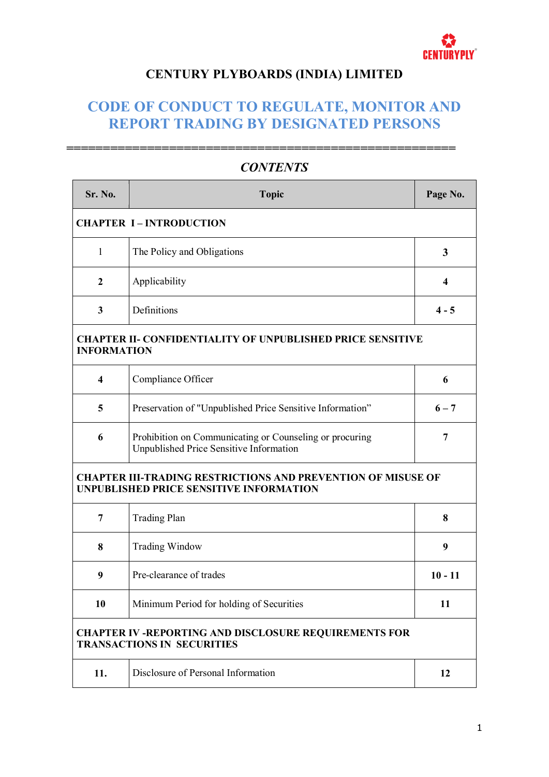

**=====================================================**

# **CENTURY PLYBOARDS (INDIA) LIMITED**

# **CODE OF CONDUCT TO REGULATE, MONITOR AND REPORT TRADING BY DESIGNATED PERSONS**

| Sr. No.                 | <b>Topic</b>                                                                                                          | Page No.                |
|-------------------------|-----------------------------------------------------------------------------------------------------------------------|-------------------------|
|                         | <b>CHAPTER I-INTRODUCTION</b>                                                                                         |                         |
| 1                       | The Policy and Obligations                                                                                            | 3                       |
| $\overline{2}$          | Applicability                                                                                                         | $\overline{\mathbf{4}}$ |
| $\mathbf{3}$            | Definitions                                                                                                           | $4 - 5$                 |
| <b>INFORMATION</b>      | <b>CHAPTER II- CONFIDENTIALITY OF UNPUBLISHED PRICE SENSITIVE</b>                                                     |                         |
| $\overline{\mathbf{4}}$ | Compliance Officer                                                                                                    | 6                       |
| 5                       | Preservation of "Unpublished Price Sensitive Information"                                                             | $6 - 7$                 |
| 6                       | Prohibition on Communicating or Counseling or procuring<br>Unpublished Price Sensitive Information                    | 7                       |
|                         | <b>CHAPTER III-TRADING RESTRICTIONS AND PREVENTION OF MISUSE OF</b><br><b>UNPUBLISHED PRICE SENSITIVE INFORMATION</b> |                         |
| $\overline{7}$          | <b>Trading Plan</b>                                                                                                   | 8                       |
| 8                       | <b>Trading Window</b>                                                                                                 | 9                       |
| 9                       | Pre-clearance of trades                                                                                               | $10 - 11$               |
| 10                      | Minimum Period for holding of Securities                                                                              | 11                      |
|                         | <b>CHAPTER IV -REPORTING AND DISCLOSURE REQUIREMENTS FOR</b><br><b>TRANSACTIONS IN SECURITIES</b>                     |                         |
| 11.                     | Disclosure of Personal Information                                                                                    | 12                      |

# *CONTENTS*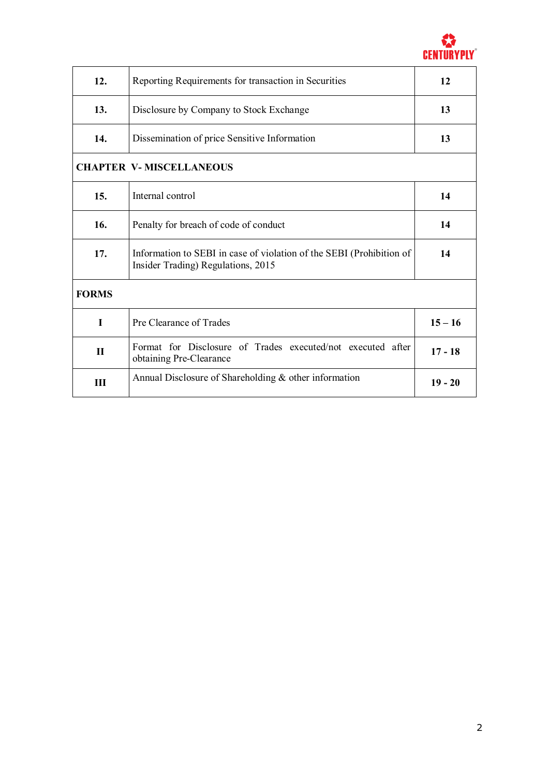

| 12.          | Reporting Requirements for transaction in Securities                                                       | 12        |
|--------------|------------------------------------------------------------------------------------------------------------|-----------|
| 13.          | Disclosure by Company to Stock Exchange                                                                    | 13        |
| 14.          | Dissemination of price Sensitive Information                                                               | 13        |
|              | <b>CHAPTER V-MISCELLANEOUS</b>                                                                             |           |
| 15.          | Internal control                                                                                           | 14        |
| 16.          | Penalty for breach of code of conduct                                                                      | 14        |
| 17.          | Information to SEBI in case of violation of the SEBI (Prohibition of<br>Insider Trading) Regulations, 2015 | 14        |
| <b>FORMS</b> |                                                                                                            |           |
| L            | Pre Clearance of Trades                                                                                    | $15 - 16$ |
| $\mathbf{H}$ | Format for Disclosure of Trades executed/not executed after<br>obtaining Pre-Clearance                     | $17 - 18$ |
| Ш            | Annual Disclosure of Shareholding & other information                                                      | $19 - 20$ |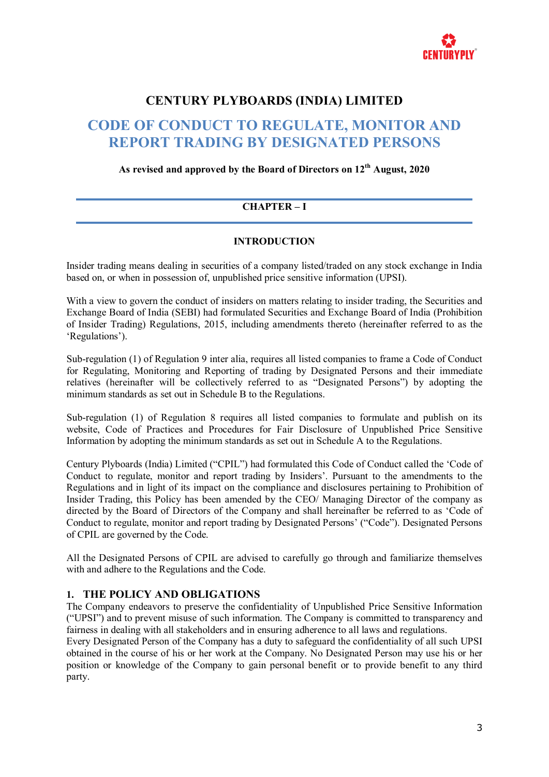

# **CENTURY PLYBOARDS (INDIA) LIMITED**

# **CODE OF CONDUCT TO REGULATE, MONITOR AND REPORT TRADING BY DESIGNATED PERSONS**

**As revised and approved by the Board of Directors on 12th August, 2020**

## **CHAPTER – I**

#### **INTRODUCTION**

Insider trading means dealing in securities of a company listed/traded on any stock exchange in India based on, or when in possession of, unpublished price sensitive information (UPSI).

With a view to govern the conduct of insiders on matters relating to insider trading, the Securities and Exchange Board of India (SEBI) had formulated Securities and Exchange Board of India (Prohibition of Insider Trading) Regulations, 2015, including amendments thereto (hereinafter referred to as the 'Regulations').

Sub-regulation (1) of Regulation 9 inter alia, requires all listed companies to frame a Code of Conduct for Regulating, Monitoring and Reporting of trading by Designated Persons and their immediate relatives (hereinafter will be collectively referred to as "Designated Persons") by adopting the minimum standards as set out in Schedule B to the Regulations.

Sub-regulation (1) of Regulation 8 requires all listed companies to formulate and publish on its website, Code of Practices and Procedures for Fair Disclosure of Unpublished Price Sensitive Information by adopting the minimum standards as set out in Schedule A to the Regulations.

Century Plyboards (India) Limited ("CPIL") had formulated this Code of Conduct called the 'Code of Conduct to regulate, monitor and report trading by Insiders'. Pursuant to the amendments to the Regulations and in light of its impact on the compliance and disclosures pertaining to Prohibition of Insider Trading, this Policy has been amended by the CEO/ Managing Director of the company as directed by the Board of Directors of the Company and shall hereinafter be referred to as 'Code of Conduct to regulate, monitor and report trading by Designated Persons' ("Code"). Designated Persons of CPIL are governed by the Code.

All the Designated Persons of CPIL are advised to carefully go through and familiarize themselves with and adhere to the Regulations and the Code.

### **1. THE POLICY AND OBLIGATIONS**

The Company endeavors to preserve the confidentiality of Unpublished Price Sensitive Information ("UPSI") and to prevent misuse of such information. The Company is committed to transparency and fairness in dealing with all stakeholders and in ensuring adherence to all laws and regulations.

Every Designated Person of the Company has a duty to safeguard the confidentiality of all such UPSI obtained in the course of his or her work at the Company. No Designated Person may use his or her position or knowledge of the Company to gain personal benefit or to provide benefit to any third party.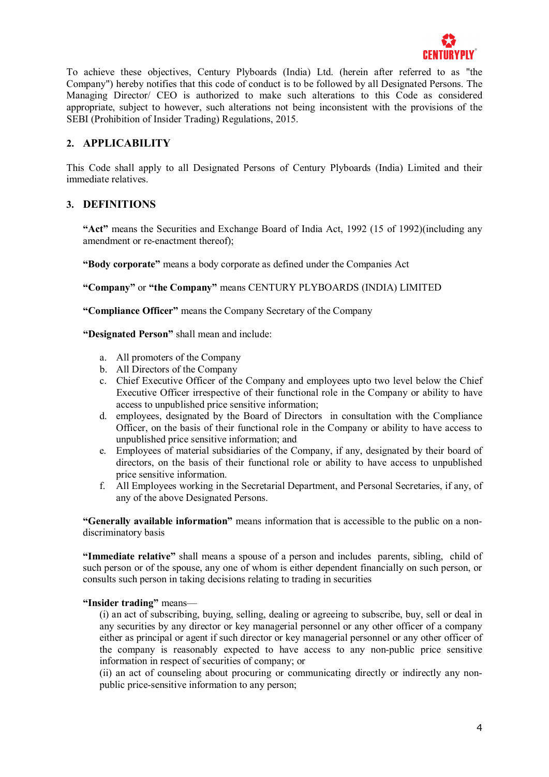

To achieve these objectives, Century Plyboards (India) Ltd. (herein after referred to as "the Company") hereby notifies that this code of conduct is to be followed by all Designated Persons. The Managing Director/ CEO is authorized to make such alterations to this Code as considered appropriate, subject to however, such alterations not being inconsistent with the provisions of the SEBI (Prohibition of Insider Trading) Regulations, 2015.

## **2. APPLICABILITY**

This Code shall apply to all Designated Persons of Century Plyboards (India) Limited and their immediate relatives.

## **3. DEFINITIONS**

**"Act"** means the Securities and Exchange Board of India Act, 1992 (15 of 1992)(including any amendment or re-enactment thereof);

**"Body corporate"** means a body corporate as defined under the Companies Act

**"Company"** or **"the Company"** means CENTURY PLYBOARDS (INDIA) LIMITED

**"Compliance Officer"** means the Company Secretary of the Company

**"Designated Person"** shall mean and include:

- a. All promoters of the Company
- b. All Directors of the Company
- c. Chief Executive Officer of the Company and employees upto two level below the Chief Executive Officer irrespective of their functional role in the Company or ability to have access to unpublished price sensitive information;
- d. employees, designated by the Board of Directors in consultation with the Compliance Officer, on the basis of their functional role in the Company or ability to have access to unpublished price sensitive information; and
- e. Employees of material subsidiaries of the Company, if any, designated by their board of directors, on the basis of their functional role or ability to have access to unpublished price sensitive information.
- f. All Employees working in the Secretarial Department, and Personal Secretaries, if any, of any of the above Designated Persons.

**"Generally available information"** means information that is accessible to the public on a nondiscriminatory basis

**"Immediate relative"** shall means a spouse of a person and includes parents, sibling, child of such person or of the spouse, any one of whom is either dependent financially on such person, or consults such person in taking decisions relating to trading in securities

#### **"Insider trading"** means—

(i) an act of subscribing, buying, selling, dealing or agreeing to subscribe, buy, sell or deal in any securities by any director or key managerial personnel or any other officer of a company either as principal or agent if such director or key managerial personnel or any other officer of the company is reasonably expected to have access to any non-public price sensitive information in respect of securities of company; or

(ii) an act of counseling about procuring or communicating directly or indirectly any nonpublic price-sensitive information to any person;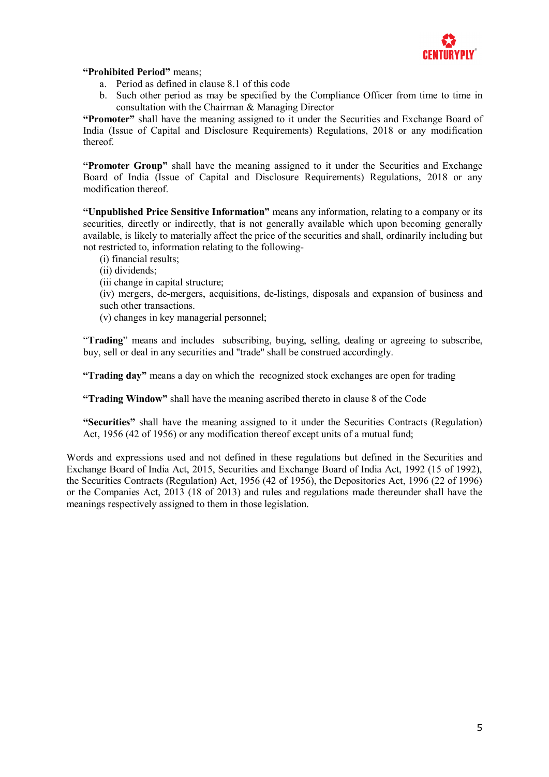

#### **"Prohibited Period"** means;

- a. Period as defined in clause 8.1 of this code
- b. Such other period as may be specified by the Compliance Officer from time to time in consultation with the Chairman & Managing Director

**"Promoter"** shall have the meaning assigned to it under the Securities and Exchange Board of India (Issue of Capital and Disclosure Requirements) Regulations, 2018 or any modification thereof.

**"Promoter Group"** shall have the meaning assigned to it under the Securities and Exchange Board of India (Issue of Capital and Disclosure Requirements) Regulations, 2018 or any modification thereof.

**"Unpublished Price Sensitive Information"** means any information, relating to a company or its securities, directly or indirectly, that is not generally available which upon becoming generally available, is likely to materially affect the price of the securities and shall, ordinarily including but not restricted to, information relating to the following-

- (i) financial results;
- (ii) dividends;
- (iii change in capital structure;

(iv) mergers, de-mergers, acquisitions, de-listings, disposals and expansion of business and such other transactions.

(v) changes in key managerial personnel;

"**Trading**" means and includes subscribing, buying, selling, dealing or agreeing to subscribe, buy, sell or deal in any securities and "trade" shall be construed accordingly.

**"Trading day"** means a day on which the recognized stock exchanges are open for trading

**"Trading Window"** shall have the meaning ascribed thereto in clause 8 of the Code

**"Securities"** shall have the meaning assigned to it under the Securities Contracts (Regulation) Act, 1956 (42 of 1956) or any modification thereof except units of a mutual fund;

Words and expressions used and not defined in these regulations but defined in the Securities and Exchange Board of India Act, 2015, Securities and Exchange Board of India Act, 1992 (15 of 1992), the Securities Contracts (Regulation) Act, 1956 (42 of 1956), the Depositories Act, 1996 (22 of 1996) or the Companies Act, 2013 (18 of 2013) and rules and regulations made thereunder shall have the meanings respectively assigned to them in those legislation.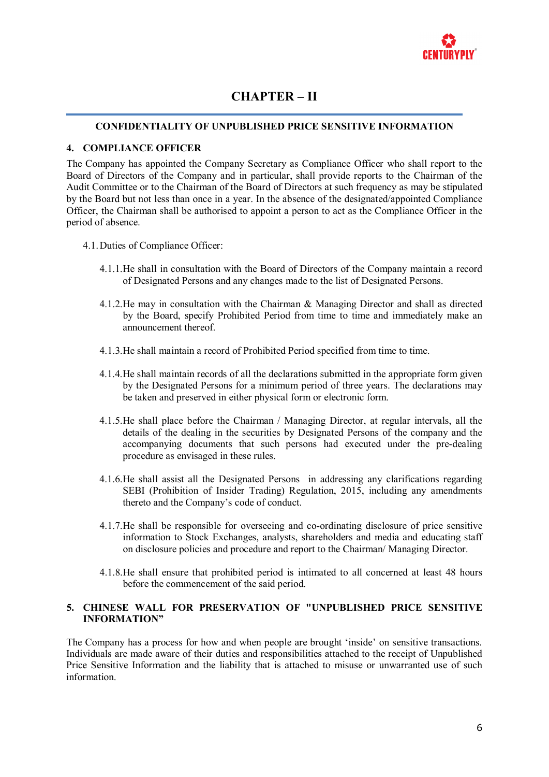

# **CHAPTER – II**

#### **CONFIDENTIALITY OF UNPUBLISHED PRICE SENSITIVE INFORMATION**

#### **4. COMPLIANCE OFFICER**

The Company has appointed the Company Secretary as Compliance Officer who shall report to the Board of Directors of the Company and in particular, shall provide reports to the Chairman of the Audit Committee or to the Chairman of the Board of Directors at such frequency as may be stipulated by the Board but not less than once in a year. In the absence of the designated/appointed Compliance Officer, the Chairman shall be authorised to appoint a person to act as the Compliance Officer in the period of absence.

- 4.1.Duties of Compliance Officer:
	- 4.1.1.He shall in consultation with the Board of Directors of the Company maintain a record of Designated Persons and any changes made to the list of Designated Persons.
	- 4.1.2.He may in consultation with the Chairman & Managing Director and shall as directed by the Board, specify Prohibited Period from time to time and immediately make an announcement thereof.
	- 4.1.3.He shall maintain a record of Prohibited Period specified from time to time.
	- 4.1.4.He shall maintain records of all the declarations submitted in the appropriate form given by the Designated Persons for a minimum period of three years. The declarations may be taken and preserved in either physical form or electronic form.
	- 4.1.5.He shall place before the Chairman / Managing Director, at regular intervals, all the details of the dealing in the securities by Designated Persons of the company and the accompanying documents that such persons had executed under the pre-dealing procedure as envisaged in these rules.
	- 4.1.6.He shall assist all the Designated Persons in addressing any clarifications regarding SEBI (Prohibition of Insider Trading) Regulation, 2015, including any amendments thereto and the Company's code of conduct.
	- 4.1.7.He shall be responsible for overseeing and co-ordinating disclosure of price sensitive information to Stock Exchanges, analysts, shareholders and media and educating staff on disclosure policies and procedure and report to the Chairman/ Managing Director.
	- 4.1.8.He shall ensure that prohibited period is intimated to all concerned at least 48 hours before the commencement of the said period.

#### **5. CHINESE WALL FOR PRESERVATION OF "UNPUBLISHED PRICE SENSITIVE INFORMATION"**

The Company has a process for how and when people are brought 'inside' on sensitive transactions. Individuals are made aware of their duties and responsibilities attached to the receipt of Unpublished Price Sensitive Information and the liability that is attached to misuse or unwarranted use of such information.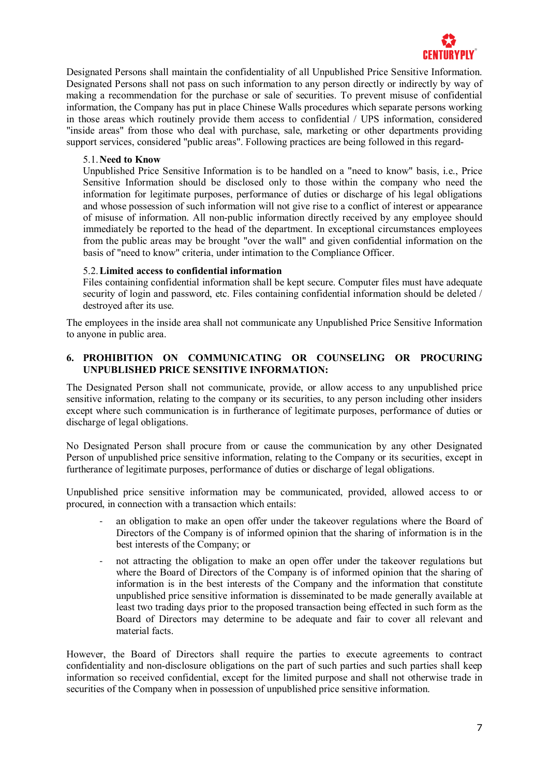

Designated Persons shall maintain the confidentiality of all Unpublished Price Sensitive Information. Designated Persons shall not pass on such information to any person directly or indirectly by way of making a recommendation for the purchase or sale of securities. To prevent misuse of confidential information, the Company has put in place Chinese Walls procedures which separate persons working in those areas which routinely provide them access to confidential / UPS information, considered "inside areas" from those who deal with purchase, sale, marketing or other departments providing support services, considered "public areas". Following practices are being followed in this regard-

#### 5.1.**Need to Know**

Unpublished Price Sensitive Information is to be handled on a "need to know" basis, i.e., Price Sensitive Information should be disclosed only to those within the company who need the information for legitimate purposes, performance of duties or discharge of his legal obligations and whose possession of such information will not give rise to a conflict of interest or appearance of misuse of information. All non-public information directly received by any employee should immediately be reported to the head of the department. In exceptional circumstances employees from the public areas may be brought "over the wall" and given confidential information on the basis of "need to know" criteria, under intimation to the Compliance Officer.

#### 5.2.**Limited access to confidential information**

Files containing confidential information shall be kept secure. Computer files must have adequate security of login and password, etc. Files containing confidential information should be deleted / destroyed after its use.

The employees in the inside area shall not communicate any Unpublished Price Sensitive Information to anyone in public area.

#### **6. PROHIBITION ON COMMUNICATING OR COUNSELING OR PROCURING UNPUBLISHED PRICE SENSITIVE INFORMATION:**

The Designated Person shall not communicate, provide, or allow access to any unpublished price sensitive information, relating to the company or its securities, to any person including other insiders except where such communication is in furtherance of legitimate purposes, performance of duties or discharge of legal obligations.

No Designated Person shall procure from or cause the communication by any other Designated Person of unpublished price sensitive information, relating to the Company or its securities, except in furtherance of legitimate purposes, performance of duties or discharge of legal obligations.

Unpublished price sensitive information may be communicated, provided, allowed access to or procured, in connection with a transaction which entails:

- an obligation to make an open offer under the takeover regulations where the Board of Directors of the Company is of informed opinion that the sharing of information is in the best interests of the Company; or
- not attracting the obligation to make an open offer under the takeover regulations but where the Board of Directors of the Company is of informed opinion that the sharing of information is in the best interests of the Company and the information that constitute unpublished price sensitive information is disseminated to be made generally available at least two trading days prior to the proposed transaction being effected in such form as the Board of Directors may determine to be adequate and fair to cover all relevant and material facts.

However, the Board of Directors shall require the parties to execute agreements to contract confidentiality and non-disclosure obligations on the part of such parties and such parties shall keep information so received confidential, except for the limited purpose and shall not otherwise trade in securities of the Company when in possession of unpublished price sensitive information.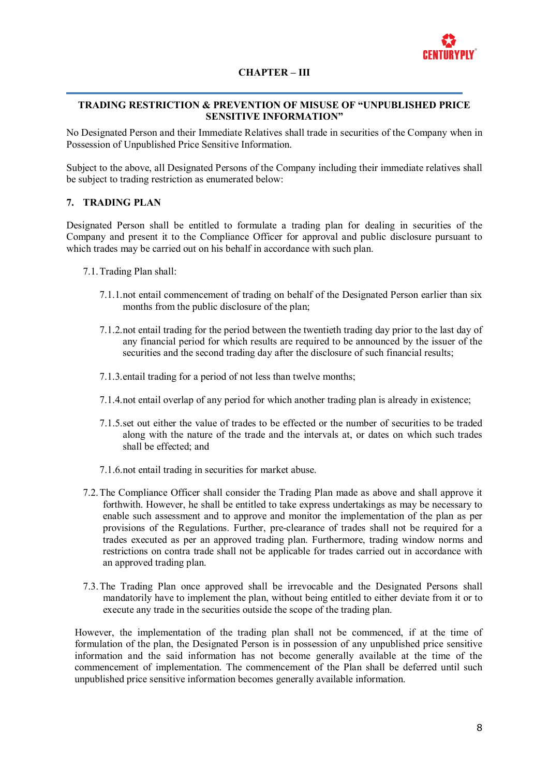

#### **CHAPTER – III**

#### **TRADING RESTRICTION & PREVENTION OF MISUSE OF "UNPUBLISHED PRICE SENSITIVE INFORMATION"**

No Designated Person and their Immediate Relatives shall trade in securities of the Company when in Possession of Unpublished Price Sensitive Information.

Subject to the above, all Designated Persons of the Company including their immediate relatives shall be subject to trading restriction as enumerated below:

#### **7. TRADING PLAN**

Designated Person shall be entitled to formulate a trading plan for dealing in securities of the Company and present it to the Compliance Officer for approval and public disclosure pursuant to which trades may be carried out on his behalf in accordance with such plan.

- 7.1.Trading Plan shall:
	- 7.1.1.not entail commencement of trading on behalf of the Designated Person earlier than six months from the public disclosure of the plan;
	- 7.1.2.not entail trading for the period between the twentieth trading day prior to the last day of any financial period for which results are required to be announced by the issuer of the securities and the second trading day after the disclosure of such financial results;
	- 7.1.3.entail trading for a period of not less than twelve months;
	- 7.1.4.not entail overlap of any period for which another trading plan is already in existence;
	- 7.1.5.set out either the value of trades to be effected or the number of securities to be traded along with the nature of the trade and the intervals at, or dates on which such trades shall be effected; and
	- 7.1.6.not entail trading in securities for market abuse.
- 7.2.The Compliance Officer shall consider the Trading Plan made as above and shall approve it forthwith. However, he shall be entitled to take express undertakings as may be necessary to enable such assessment and to approve and monitor the implementation of the plan as per provisions of the Regulations. Further, pre-clearance of trades shall not be required for a trades executed as per an approved trading plan. Furthermore, trading window norms and restrictions on contra trade shall not be applicable for trades carried out in accordance with an approved trading plan.
- 7.3.The Trading Plan once approved shall be irrevocable and the Designated Persons shall mandatorily have to implement the plan, without being entitled to either deviate from it or to execute any trade in the securities outside the scope of the trading plan.

However, the implementation of the trading plan shall not be commenced, if at the time of formulation of the plan, the Designated Person is in possession of any unpublished price sensitive information and the said information has not become generally available at the time of the commencement of implementation. The commencement of the Plan shall be deferred until such unpublished price sensitive information becomes generally available information.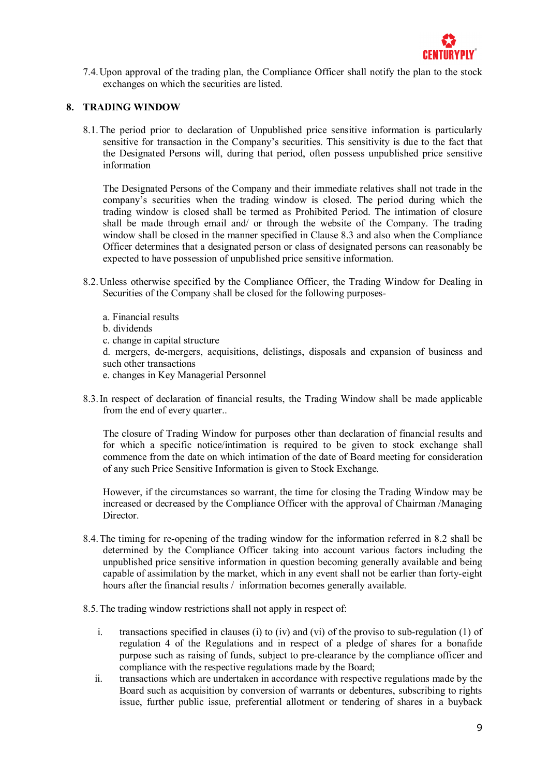

7.4.Upon approval of the trading plan, the Compliance Officer shall notify the plan to the stock exchanges on which the securities are listed.

### **8. TRADING WINDOW**

8.1.The period prior to declaration of Unpublished price sensitive information is particularly sensitive for transaction in the Company's securities. This sensitivity is due to the fact that the Designated Persons will, during that period, often possess unpublished price sensitive information

The Designated Persons of the Company and their immediate relatives shall not trade in the company's securities when the trading window is closed. The period during which the trading window is closed shall be termed as Prohibited Period. The intimation of closure shall be made through email and/ or through the website of the Company. The trading window shall be closed in the manner specified in Clause 8.3 and also when the Compliance Officer determines that a designated person or class of designated persons can reasonably be expected to have possession of unpublished price sensitive information.

- 8.2.Unless otherwise specified by the Compliance Officer, the Trading Window for Dealing in Securities of the Company shall be closed for the following purposes
	- a. Financial results
	- b. dividends
	- c. change in capital structure

d. mergers, de-mergers, acquisitions, delistings, disposals and expansion of business and such other transactions

- e. changes in Key Managerial Personnel
- 8.3.In respect of declaration of financial results, the Trading Window shall be made applicable from the end of every quarter..

The closure of Trading Window for purposes other than declaration of financial results and for which a specific notice/intimation is required to be given to stock exchange shall commence from the date on which intimation of the date of Board meeting for consideration of any such Price Sensitive Information is given to Stock Exchange.

However, if the circumstances so warrant, the time for closing the Trading Window may be increased or decreased by the Compliance Officer with the approval of Chairman /Managing Director.

- 8.4.The timing for re-opening of the trading window for the information referred in 8.2 shall be determined by the Compliance Officer taking into account various factors including the unpublished price sensitive information in question becoming generally available and being capable of assimilation by the market, which in any event shall not be earlier than forty-eight hours after the financial results / information becomes generally available.
- 8.5.The trading window restrictions shall not apply in respect of:
	- i. transactions specified in clauses (i) to (iv) and (vi) of the proviso to sub-regulation (1) of regulation 4 of the Regulations and in respect of a pledge of shares for a bonafide purpose such as raising of funds, subject to pre-clearance by the compliance officer and compliance with the respective regulations made by the Board;
	- ii. transactions which are undertaken in accordance with respective regulations made by the Board such as acquisition by conversion of warrants or debentures, subscribing to rights issue, further public issue, preferential allotment or tendering of shares in a buyback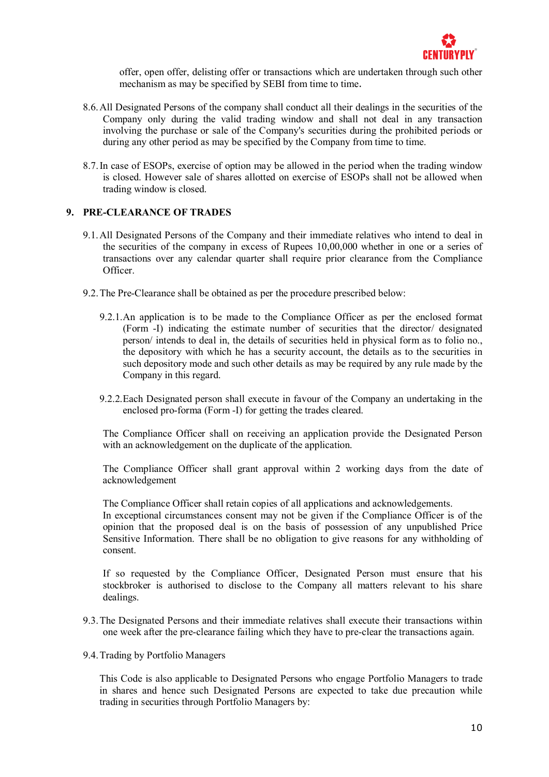

offer, open offer, delisting offer or transactions which are undertaken through such other mechanism as may be specified by SEBI from time to time.

- 8.6.All Designated Persons of the company shall conduct all their dealings in the securities of the Company only during the valid trading window and shall not deal in any transaction involving the purchase or sale of the Company's securities during the prohibited periods or during any other period as may be specified by the Company from time to time.
- 8.7.In case of ESOPs, exercise of option may be allowed in the period when the trading window is closed. However sale of shares allotted on exercise of ESOPs shall not be allowed when trading window is closed.

#### **9. PRE-CLEARANCE OF TRADES**

- 9.1.All Designated Persons of the Company and their immediate relatives who intend to deal in the securities of the company in excess of Rupees 10,00,000 whether in one or a series of transactions over any calendar quarter shall require prior clearance from the Compliance Officer.
- 9.2.The Pre-Clearance shall be obtained as per the procedure prescribed below:
	- 9.2.1.An application is to be made to the Compliance Officer as per the enclosed format (Form -I) indicating the estimate number of securities that the director/ designated person/ intends to deal in, the details of securities held in physical form as to folio no., the depository with which he has a security account, the details as to the securities in such depository mode and such other details as may be required by any rule made by the Company in this regard.
	- 9.2.2.Each Designated person shall execute in favour of the Company an undertaking in the enclosed pro-forma (Form -I) for getting the trades cleared.

The Compliance Officer shall on receiving an application provide the Designated Person with an acknowledgement on the duplicate of the application.

The Compliance Officer shall grant approval within 2 working days from the date of acknowledgement

The Compliance Officer shall retain copies of all applications and acknowledgements.

In exceptional circumstances consent may not be given if the Compliance Officer is of the opinion that the proposed deal is on the basis of possession of any unpublished Price Sensitive Information. There shall be no obligation to give reasons for any withholding of consent.

If so requested by the Compliance Officer, Designated Person must ensure that his stockbroker is authorised to disclose to the Company all matters relevant to his share dealings.

- 9.3.The Designated Persons and their immediate relatives shall execute their transactions within one week after the pre-clearance failing which they have to pre-clear the transactions again.
- 9.4.Trading by Portfolio Managers

This Code is also applicable to Designated Persons who engage Portfolio Managers to trade in shares and hence such Designated Persons are expected to take due precaution while trading in securities through Portfolio Managers by: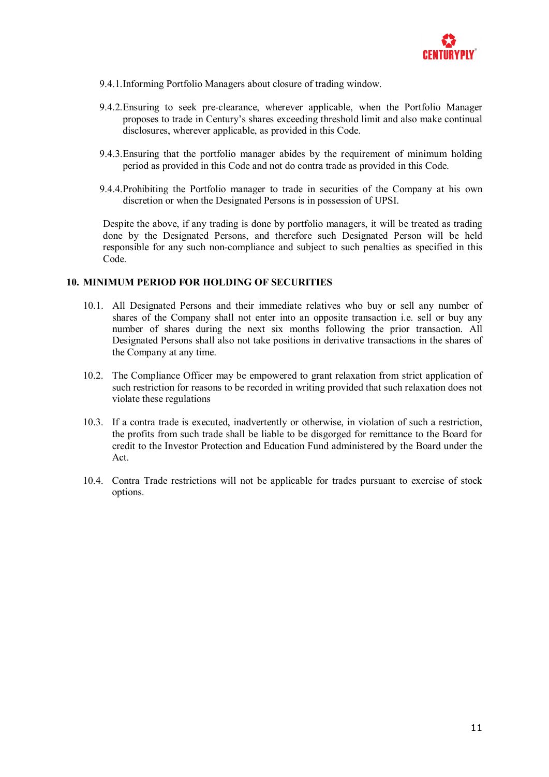

- 9.4.1.Informing Portfolio Managers about closure of trading window.
- 9.4.2.Ensuring to seek pre-clearance, wherever applicable, when the Portfolio Manager proposes to trade in Century's shares exceeding threshold limit and also make continual disclosures, wherever applicable, as provided in this Code.
- 9.4.3.Ensuring that the portfolio manager abides by the requirement of minimum holding period as provided in this Code and not do contra trade as provided in this Code.
- 9.4.4.Prohibiting the Portfolio manager to trade in securities of the Company at his own discretion or when the Designated Persons is in possession of UPSI.

Despite the above, if any trading is done by portfolio managers, it will be treated as trading done by the Designated Persons, and therefore such Designated Person will be held responsible for any such non-compliance and subject to such penalties as specified in this Code.

#### **10. MINIMUM PERIOD FOR HOLDING OF SECURITIES**

- 10.1. All Designated Persons and their immediate relatives who buy or sell any number of shares of the Company shall not enter into an opposite transaction i.e. sell or buy any number of shares during the next six months following the prior transaction. All Designated Persons shall also not take positions in derivative transactions in the shares of the Company at any time.
- 10.2. The Compliance Officer may be empowered to grant relaxation from strict application of such restriction for reasons to be recorded in writing provided that such relaxation does not violate these regulations
- 10.3. If a contra trade is executed, inadvertently or otherwise, in violation of such a restriction, the profits from such trade shall be liable to be disgorged for remittance to the Board for credit to the Investor Protection and Education Fund administered by the Board under the Act.
- 10.4. Contra Trade restrictions will not be applicable for trades pursuant to exercise of stock options.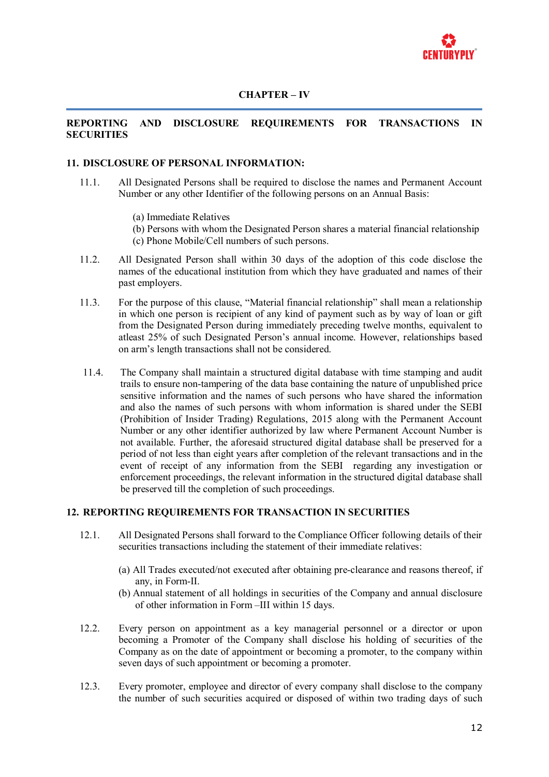

#### **REPORTING AND DISCLOSURE REQUIREMENTS FOR TRANSACTIONS IN SECURITIES**

#### **11. DISCLOSURE OF PERSONAL INFORMATION:**

- 11.1. All Designated Persons shall be required to disclose the names and Permanent Account Number or any other Identifier of the following persons on an Annual Basis:
	- (a) Immediate Relatives
	- (b) Persons with whom the Designated Person shares a material financial relationship
	- (c) Phone Mobile/Cell numbers of such persons.
- 11.2. All Designated Person shall within 30 days of the adoption of this code disclose the names of the educational institution from which they have graduated and names of their past employers.
- 11.3. For the purpose of this clause, "Material financial relationship" shall mean a relationship in which one person is recipient of any kind of payment such as by way of loan or gift from the Designated Person during immediately preceding twelve months, equivalent to atleast 25% of such Designated Person's annual income. However, relationships based on arm's length transactions shall not be considered.
- 11.4. The Company shall maintain a structured digital database with time stamping and audit trails to ensure non-tampering of the data base containing the nature of unpublished price sensitive information and the names of such persons who have shared the information and also the names of such persons with whom information is shared under the SEBI (Prohibition of Insider Trading) Regulations, 2015 along with the Permanent Account Number or any other identifier authorized by law where Permanent Account Number is not available. Further, the aforesaid structured digital database shall be preserved for a period of not less than eight years after completion of the relevant transactions and in the event of receipt of any information from the SEBI regarding any investigation or enforcement proceedings, the relevant information in the structured digital database shall be preserved till the completion of such proceedings.

#### **12. REPORTING REQUIREMENTS FOR TRANSACTION IN SECURITIES**

- 12.1. All Designated Persons shall forward to the Compliance Officer following details of their securities transactions including the statement of their immediate relatives:
	- (a) All Trades executed/not executed after obtaining pre-clearance and reasons thereof, if any, in Form-II.
	- (b) Annual statement of all holdings in securities of the Company and annual disclosure of other information in Form –III within 15 days.
- 12.2. Every person on appointment as a key managerial personnel or a director or upon becoming a Promoter of the Company shall disclose his holding of securities of the Company as on the date of appointment or becoming a promoter, to the company within seven days of such appointment or becoming a promoter.
- 12.3. Every promoter, employee and director of every company shall disclose to the company the number of such securities acquired or disposed of within two trading days of such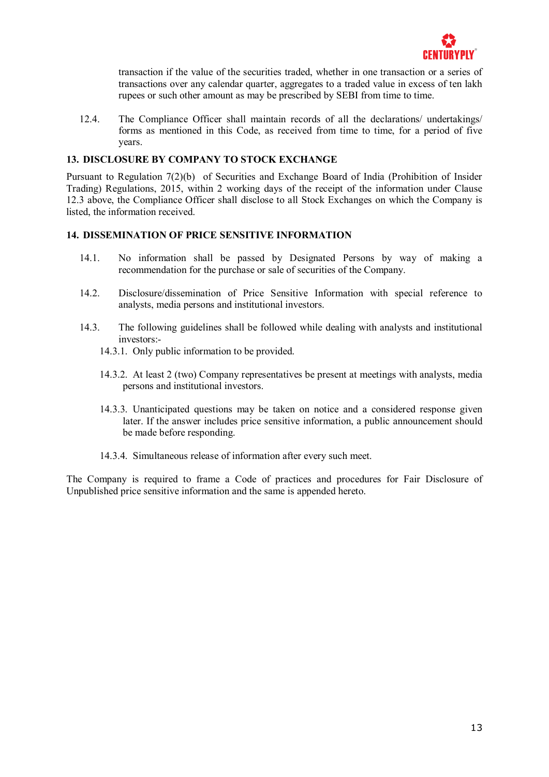

transaction if the value of the securities traded, whether in one transaction or a series of transactions over any calendar quarter, aggregates to a traded value in excess of ten lakh rupees or such other amount as may be prescribed by SEBI from time to time.

12.4. The Compliance Officer shall maintain records of all the declarations/ undertakings/ forms as mentioned in this Code, as received from time to time, for a period of five years.

#### **13. DISCLOSURE BY COMPANY TO STOCK EXCHANGE**

Pursuant to Regulation 7(2)(b) of Securities and Exchange Board of India (Prohibition of Insider Trading) Regulations, 2015, within 2 working days of the receipt of the information under Clause 12.3 above, the Compliance Officer shall disclose to all Stock Exchanges on which the Company is listed, the information received.

#### **14. DISSEMINATION OF PRICE SENSITIVE INFORMATION**

- 14.1. No information shall be passed by Designated Persons by way of making a recommendation for the purchase or sale of securities of the Company.
- 14.2. Disclosure/dissemination of Price Sensitive Information with special reference to analysts, media persons and institutional investors.
- 14.3. The following guidelines shall be followed while dealing with analysts and institutional investors:-
	- 14.3.1. Only public information to be provided.
	- 14.3.2. At least 2 (two) Company representatives be present at meetings with analysts, media persons and institutional investors.
	- 14.3.3. Unanticipated questions may be taken on notice and a considered response given later. If the answer includes price sensitive information, a public announcement should be made before responding.
	- 14.3.4. Simultaneous release of information after every such meet.

The Company is required to frame a Code of practices and procedures for Fair Disclosure of Unpublished price sensitive information and the same is appended hereto.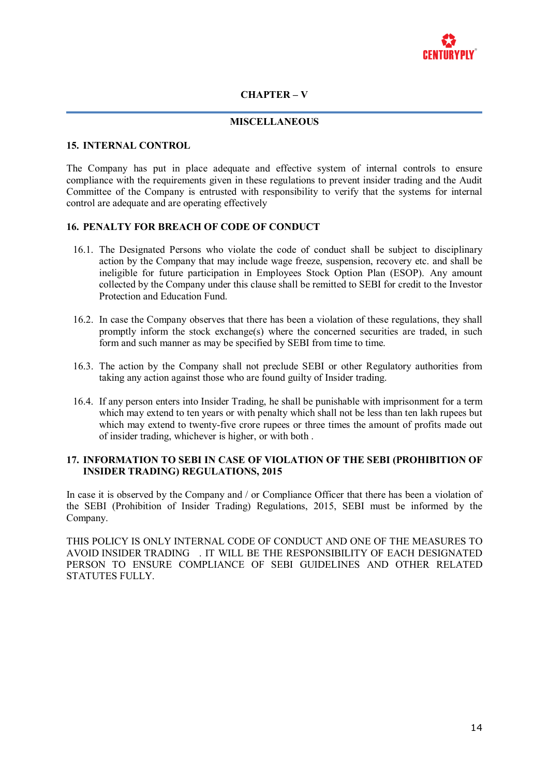

#### **CHAPTER – V**

#### **MISCELLANEOUS**

#### **15. INTERNAL CONTROL**

The Company has put in place adequate and effective system of internal controls to ensure compliance with the requirements given in these regulations to prevent insider trading and the Audit Committee of the Company is entrusted with responsibility to verify that the systems for internal control are adequate and are operating effectively

#### **16. PENALTY FOR BREACH OF CODE OF CONDUCT**

- 16.1. The Designated Persons who violate the code of conduct shall be subject to disciplinary action by the Company that may include wage freeze, suspension, recovery etc. and shall be ineligible for future participation in Employees Stock Option Plan (ESOP). Any amount collected by the Company under this clause shall be remitted to SEBI for credit to the Investor Protection and Education Fund.
- 16.2. In case the Company observes that there has been a violation of these regulations, they shall promptly inform the stock exchange(s) where the concerned securities are traded, in such form and such manner as may be specified by SEBI from time to time.
- 16.3. The action by the Company shall not preclude SEBI or other Regulatory authorities from taking any action against those who are found guilty of Insider trading.
- 16.4. If any person enters into Insider Trading, he shall be punishable with imprisonment for a term which may extend to ten years or with penalty which shall not be less than ten lakh rupees but which may extend to twenty-five crore rupees or three times the amount of profits made out of insider trading, whichever is higher, or with both .

#### **17. INFORMATION TO SEBI IN CASE OF VIOLATION OF THE SEBI (PROHIBITION OF INSIDER TRADING) REGULATIONS, 2015**

In case it is observed by the Company and / or Compliance Officer that there has been a violation of the SEBI (Prohibition of Insider Trading) Regulations, 2015, SEBI must be informed by the Company.

THIS POLICY IS ONLY INTERNAL CODE OF CONDUCT AND ONE OF THE MEASURES TO AVOID INSIDER TRADING . IT WILL BE THE RESPONSIBILITY OF EACH DESIGNATED PERSON TO ENSURE COMPLIANCE OF SEBI GUIDELINES AND OTHER RELATED STATUTES FULLY.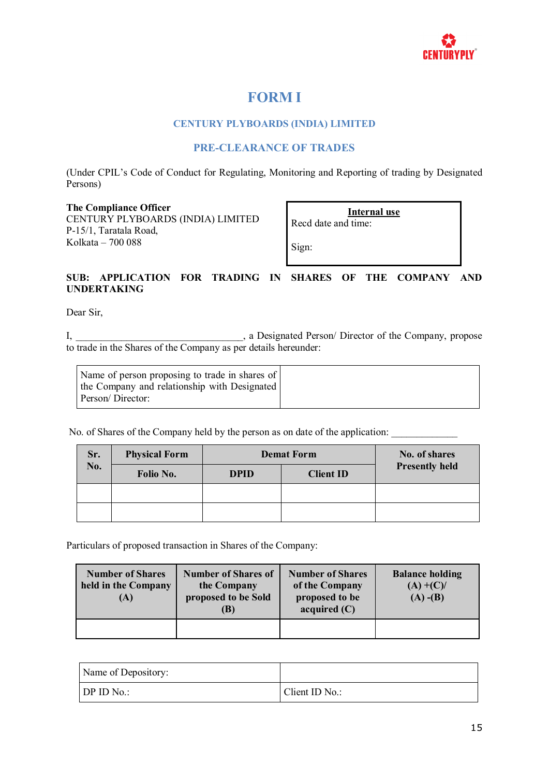

# **FORM I**

### **CENTURY PLYBOARDS (INDIA) LIMITED**

## **PRE-CLEARANCE OF TRADES**

(Under CPIL's Code of Conduct for Regulating, Monitoring and Reporting of trading by Designated Persons)

#### **The Compliance Officer**

CENTURY PLYBOARDS (INDIA) LIMITED P-15/1, Taratala Road, Kolkata – 700 088

**Internal use** Recd date and time:

Sign:

### **SUB: APPLICATION FOR TRADING IN SHARES OF THE COMPANY AND UNDERTAKING**

Dear Sir,

I, \_\_\_\_\_\_\_\_\_\_\_\_\_\_\_\_\_\_\_\_\_\_\_\_\_\_\_\_\_\_, a Designated Person/ Director of the Company, propose to trade in the Shares of the Company as per details hereunder:

| Name of person proposing to trade in shares of<br>the Company and relationship with Designated |  |
|------------------------------------------------------------------------------------------------|--|
| Person/Director:                                                                               |  |

No. of Shares of the Company held by the person as on date of the application:

| Sr.<br>No. | <b>Physical Form</b> | <b>Demat Form</b> | No. of shares    |                       |
|------------|----------------------|-------------------|------------------|-----------------------|
|            | Folio No.            | <b>DPID</b>       | <b>Client ID</b> | <b>Presently held</b> |
|            |                      |                   |                  |                       |
|            |                      |                   |                  |                       |

Particulars of proposed transaction in Shares of the Company:

| <b>Number of Shares</b><br>held in the Company<br>(A) | <b>Number of Shares of</b><br>the Company<br>proposed to be Sold<br>(B) | <b>Number of Shares</b><br>of the Company<br>proposed to be<br>acquired (C) | <b>Balance holding</b><br>$(A) + (C)$ /<br>$(A)$ - $(B)$ |
|-------------------------------------------------------|-------------------------------------------------------------------------|-----------------------------------------------------------------------------|----------------------------------------------------------|
|                                                       |                                                                         |                                                                             |                                                          |

| Name of Depository:     |                |
|-------------------------|----------------|
| $\overline{DP}$ ID No.: | Client ID No.: |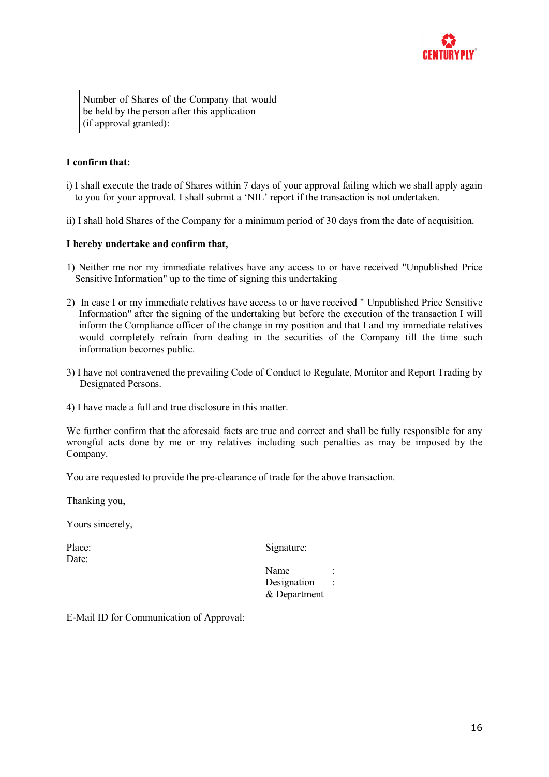

| Number of Shares of the Company that would   |  |
|----------------------------------------------|--|
| be held by the person after this application |  |
| $\int$ (if approval granted):                |  |

#### **I confirm that:**

- i) I shall execute the trade of Shares within 7 days of your approval failing which we shall apply again to you for your approval. I shall submit a 'NIL' report if the transaction is not undertaken.
- ii) I shall hold Shares of the Company for a minimum period of 30 days from the date of acquisition.

#### **I hereby undertake and confirm that,**

- 1) Neither me nor my immediate relatives have any access to or have received "Unpublished Price Sensitive Information" up to the time of signing this undertaking
- 2) In case I or my immediate relatives have access to or have received " Unpublished Price Sensitive Information" after the signing of the undertaking but before the execution of the transaction I will inform the Compliance officer of the change in my position and that I and my immediate relatives would completely refrain from dealing in the securities of the Company till the time such information becomes public.
- 3) I have not contravened the prevailing Code of Conduct to Regulate, Monitor and Report Trading by Designated Persons.
- 4) I have made a full and true disclosure in this matter.

We further confirm that the aforesaid facts are true and correct and shall be fully responsible for any wrongful acts done by me or my relatives including such penalties as may be imposed by the Company.

You are requested to provide the pre-clearance of trade for the above transaction.

Thanking you,

Yours sincerely,

Date:

Place: Signature:

Name : Designation : & Department

E-Mail ID for Communication of Approval: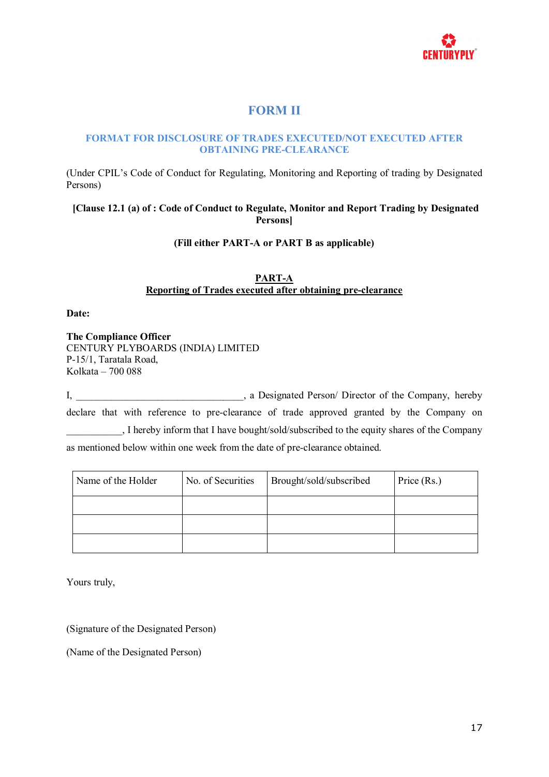

# **FORM II**

#### **FORMAT FOR DISCLOSURE OF TRADES EXECUTED/NOT EXECUTED AFTER OBTAINING PRE-CLEARANCE**

(Under CPIL's Code of Conduct for Regulating, Monitoring and Reporting of trading by Designated Persons)

### **[Clause 12.1 (a) of : Code of Conduct to Regulate, Monitor and Report Trading by Designated Persons]**

#### **(Fill either PART-A or PART B as applicable)**

### **PART-A Reporting of Trades executed after obtaining pre-clearance**

#### **Date:**

**The Compliance Officer** CENTURY PLYBOARDS (INDIA) LIMITED P-15/1, Taratala Road, Kolkata – 700 088

I, a Designated Person/ Director of the Company, hereby declare that with reference to pre-clearance of trade approved granted by the Company on \_\_\_\_\_\_\_\_\_\_\_, I hereby inform that I have bought/sold/subscribed to the equity shares of the Company as mentioned below within one week from the date of pre-clearance obtained.

| Name of the Holder | No. of Securities | Brought/sold/subscribed | Price (Rs.) |
|--------------------|-------------------|-------------------------|-------------|
|                    |                   |                         |             |
|                    |                   |                         |             |
|                    |                   |                         |             |

Yours truly,

(Signature of the Designated Person)

(Name of the Designated Person)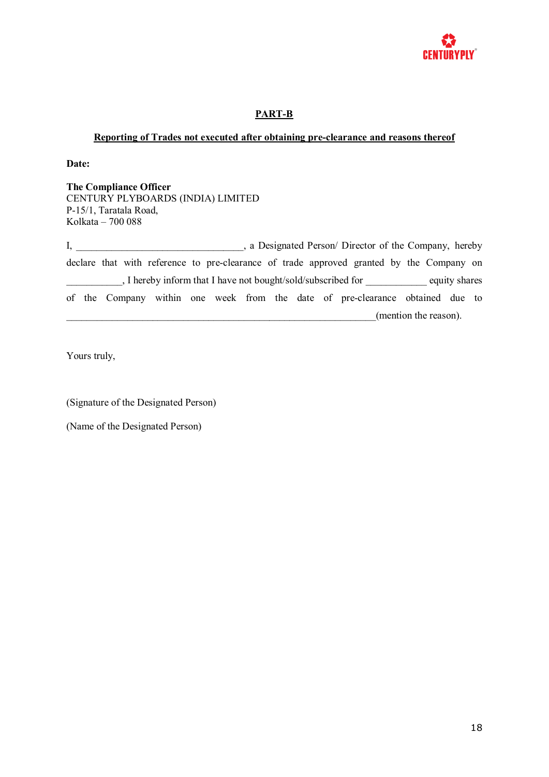

## **PART-B**

#### **Reporting of Trades not executed after obtaining pre-clearance and reasons thereof**

**Date:**

**The Compliance Officer** CENTURY PLYBOARDS (INDIA) LIMITED P-15/1, Taratala Road, Kolkata – 700 088

I, a Designated Person/ Director of the Company, hereby declare that with reference to pre-clearance of trade approved granted by the Company on . I hereby inform that I have not bought/sold/subscribed for equity shares of the Company within one week from the date of pre-clearance obtained due to \_\_\_\_\_\_\_\_\_\_\_\_\_\_\_\_\_\_\_\_\_\_\_\_\_\_\_\_\_\_\_\_\_\_\_\_\_\_\_\_\_\_\_\_\_\_\_\_\_\_\_\_\_\_\_\_\_\_\_\_\_(mention the reason).

Yours truly,

(Signature of the Designated Person)

(Name of the Designated Person)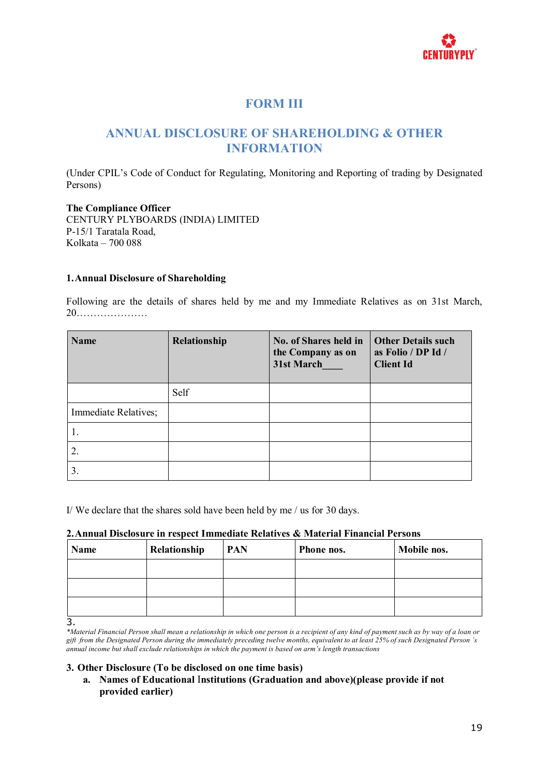

# **FORM III**

# **ANNUAL DISCLOSURE OF SHAREHOLDING & OTHER INFORMATION**

(Under CPIL's Code of Conduct for Regulating, Monitoring and Reporting of trading by Designated Persons)

**The Compliance Officer** CENTURY PLYBOARDS (INDIA) LIMITED P-15/1 Taratala Road, Kolkata – 700 088

#### **1.Annual Disclosure of Shareholding**

Following are the details of shares held by me and my Immediate Relatives as on 31st March, 20…………………

| <b>Name</b>          | Relationship | No. of Shares held in<br>the Company as on<br>31st March | <b>Other Details such</b><br>as Folio / DP Id /<br><b>Client Id</b> |
|----------------------|--------------|----------------------------------------------------------|---------------------------------------------------------------------|
|                      | Self         |                                                          |                                                                     |
| Immediate Relatives; |              |                                                          |                                                                     |
|                      |              |                                                          |                                                                     |
|                      |              |                                                          |                                                                     |
| 3.                   |              |                                                          |                                                                     |

I/ We declare that the shares sold have been held by me / us for 30 days.

#### **2.Annual Disclosure in respect Immediate Relatives & Material Financial Persons**

| Name | Relationship | <b>PAN</b> | <b>Phone nos.</b> | Mobile nos. |
|------|--------------|------------|-------------------|-------------|
|      |              |            |                   |             |
|      |              |            |                   |             |
|      |              |            |                   |             |

3.

\*Material Financial Person shall mean a relationship in which one person is a recipient of any kind of payment such as by way of a loan or gift from the Designated Person during the immediately preceding twelve months, equivalent to at least 25% of such Designated Person 's *annual income but shall exclude relationships in which the payment is based on arm's length transactions*

#### **3. Other Disclosure (To be disclosed on one time basis)**

**a. Names of Educational** I**nstitutions (Graduation and above)(please provide if not provided earlier)**